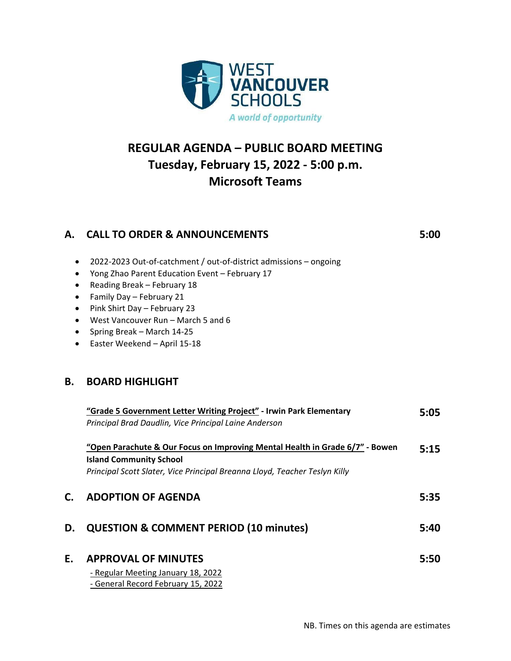

# **REGULAR AGENDA – PUBLIC BOARD MEETING Tuesday, February 15, 2022 - 5:00 p.m. Microsoft Teams**

## **A. CALL TO ORDER & ANNOUNCEMENTS 5:00**

- 2022-2023 Out-of-catchment / out-of-district admissions ongoing
- Yong Zhao Parent Education Event February 17
- Reading Break February 18
- Family Day February 21
- Pink Shirt Day February 23
- West Vancouver Run March 5 and 6
- Spring Break March 14-25
- Easter Weekend April 15-18

## **B. BOARD HIGHLIGHT**

|    | "Grade 5 Government Letter Writing Project" - Irwin Park Elementary<br>Principal Brad Daudlin, Vice Principal Laine Anderson                                                                 | 5:05 |
|----|----------------------------------------------------------------------------------------------------------------------------------------------------------------------------------------------|------|
|    | "Open Parachute & Our Focus on Improving Mental Health in Grade 6/7" - Bowen<br><b>Island Community School</b><br>Principal Scott Slater, Vice Principal Breanna Lloyd, Teacher Teslyn Killy | 5:15 |
| С. | <b>ADOPTION OF AGENDA</b>                                                                                                                                                                    | 5:35 |
| D. | <b>QUESTION &amp; COMMENT PERIOD (10 minutes)</b>                                                                                                                                            | 5:40 |
| Е. | <b>APPROVAL OF MINUTES</b><br>- Regular Meeting January 18, 2022<br>- General Record February 15, 2022                                                                                       | 5:50 |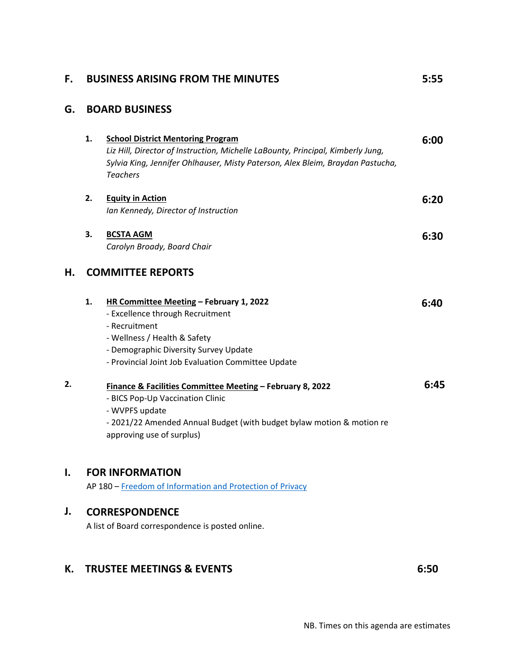### **F. BUSINESS ARISING FROM THE MINUTES 5:55**

### **G. BOARD BUSINESS**

|    | 1.                       | <b>School District Mentoring Program</b><br>Liz Hill, Director of Instruction, Michelle LaBounty, Principal, Kimberly Jung,<br>Sylvia King, Jennifer Ohlhauser, Misty Paterson, Alex Bleim, Braydan Pastucha,<br><b>Teachers</b> | 6:00 |
|----|--------------------------|----------------------------------------------------------------------------------------------------------------------------------------------------------------------------------------------------------------------------------|------|
|    | 2.                       | <b>Equity in Action</b><br>Ian Kennedy, Director of Instruction                                                                                                                                                                  | 6:20 |
|    | 3.                       | <b>BCSTA AGM</b><br>Carolyn Broady, Board Chair                                                                                                                                                                                  | 6:30 |
| Η. | <b>COMMITTEE REPORTS</b> |                                                                                                                                                                                                                                  |      |
|    | 1.                       | HR Committee Meeting - February 1, 2022<br>- Excellence through Recruitment<br>- Recruitment<br>- Wellness / Health & Safety<br>- Demographic Diversity Survey Update<br>- Provincial Joint Job Evaluation Committee Update      | 6:40 |
| 2. |                          | <b>Finance &amp; Facilities Committee Meeting - February 8, 2022</b><br>- BICS Pop-Up Vaccination Clinic<br>- WVPFS update<br>- 2021/22 Amended Annual Budget (with budget bylaw motion & motion re<br>approving use of surplus) | 6:45 |

#### **I. FOR INFORMATION**

AP 180 – [Freedom of Information and Protection of Privacy](https://westvancouverschools.ca/wp-content/uploads/2015/08/AP180-FreedomofInformationandProtectionPrivacy.pdf)

#### **J. CORRESPONDENCE**

A list of Board correspondence is posted online.

## **K. TRUSTEE MEETINGS & EVENTS** 6:50